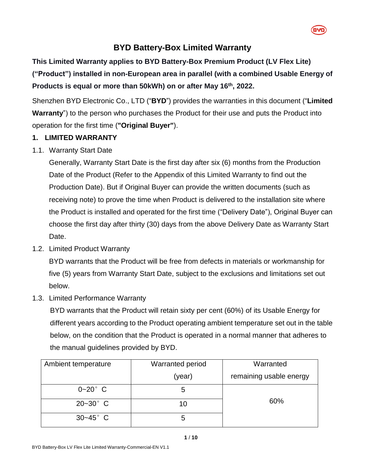

## **BYD Battery-Box Limited Warranty**

# **This Limited Warranty applies to BYD Battery-Box Premium Product (LV Flex Lite) ("Product") installed in non-European area in parallel (with a combined Usable Energy of Products is equal or more than 50kWh) on or after May 16th, 2022.**

Shenzhen BYD Electronic Co., LTD ("**BYD**") provides the warranties in this document ("**Limited Warranty**") to the person who purchases the Product for their use and puts the Product into operation for the first time (**"Original Buyer"**).

### **1. LIMITED WARRANTY**

## 1.1. Warranty Start Date

Generally, Warranty Start Date is the first day after six (6) months from the Production Date of the Product (Refer to the Appendix of this Limited Warranty to find out the Production Date). But if Original Buyer can provide the written documents (such as receiving note) to prove the time when Product is delivered to the installation site where the Product is installed and operated for the first time ("Delivery Date"), Original Buyer can choose the first day after thirty (30) days from the above Delivery Date as Warranty Start Date.

<span id="page-0-1"></span>1.2. Limited Product Warranty

BYD warrants that the Product will be free from defects in materials or workmanship for five (5) years from Warranty Start Date, subject to the exclusions and limitations set out below.

<span id="page-0-0"></span>1.3. Limited Performance Warranty

BYD warrants that the Product will retain sixty per cent (60%) of its Usable Energy for different years according to the Product operating ambient temperature set out in the table below, on the condition that the Product is operated in a normal manner that adheres to the manual guidelines provided by BYD.

| Ambient temperature | <b>Warranted period</b> | Warranted               |
|---------------------|-------------------------|-------------------------|
|                     | (year)                  | remaining usable energy |
| $0 - 20$ ° C        | 5                       |                         |
| $20 - 30^{\circ}$ C | 10                      | 60%                     |
| $30 - 45^{\circ}$ C | b                       |                         |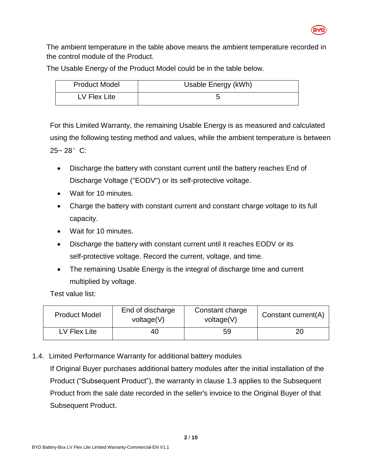

The ambient temperature in the table above means the ambient temperature recorded in the control module of the Product.

The Usable Energy of the Product Model could be in the table below.

| <b>Product Model</b> | Usable Energy (kWh) |
|----------------------|---------------------|
| LV Flex Lite         |                     |

For this Limited Warranty, the remaining Usable Energy is as measured and calculated using the following testing method and values, while the ambient temperature is between 25~ 28°C:

- Discharge the battery with constant current until the battery reaches End of Discharge Voltage ("EODV") or its self-protective voltage.
- Wait for 10 minutes.
- Charge the battery with constant current and constant charge voltage to its full capacity.
- Wait for 10 minutes.
- Discharge the battery with constant current until it reaches EODV or its self-protective voltage. Record the current, voltage, and time.
- The remaining Usable Energy is the integral of discharge time and current multiplied by voltage.

Test value list:

| <b>Product Model</b> | End of discharge<br>voltage(V) | Constant charge<br>voltage(V) | Constant current(A) |
|----------------------|--------------------------------|-------------------------------|---------------------|
| LV Flex Lite         | 40                             | 59                            | 20                  |

1.4. Limited Performance Warranty for additional battery modules

If Original Buyer purchases additional battery modules after the initial installation of the Product ("Subsequent Product"), the warranty in clause [1.3](#page-0-0) applies to the Subsequent Product from the sale date recorded in the seller's invoice to the Original Buyer of that Subsequent Product.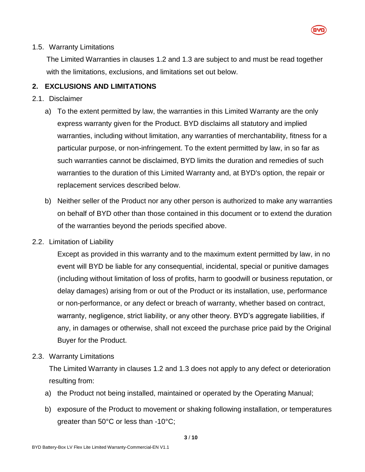

#### 1.5. Warranty Limitations

The Limited Warranties in clauses [1.2](#page-0-1) and [1.3](#page-0-0) are subject to and must be read together with the limitations, exclusions, and limitations set out below.

#### **2. EXCLUSIONS AND LIMITATIONS**

#### 2.1. Disclaimer

- a) To the extent permitted by law, the warranties in this Limited Warranty are the only express warranty given for the Product. BYD disclaims all statutory and implied warranties, including without limitation, any warranties of merchantability, fitness for a particular purpose, or non-infringement. To the extent permitted by law, in so far as such warranties cannot be disclaimed, BYD limits the duration and remedies of such warranties to the duration of this Limited Warranty and, at BYD's option, the repair or replacement services described below.
- b) Neither seller of the Product nor any other person is authorized to make any warranties on behalf of BYD other than those contained in this document or to extend the duration of the warranties beyond the periods specified above.
- 2.2. Limitation of Liability

Except as provided in this warranty and to the maximum extent permitted by law, in no event will BYD be liable for any consequential, incidental, special or punitive damages (including without limitation of loss of profits, harm to goodwill or business reputation, or delay damages) arising from or out of the Product or its installation, use, performance or non-performance, or any defect or breach of warranty, whether based on contract, warranty, negligence, strict liability, or any other theory. BYD's aggregate liabilities, if any, in damages or otherwise, shall not exceed the purchase price paid by the Original Buyer for the Product.

2.3. Warranty Limitations

The Limited Warranty in clauses [1.2](#page-0-1) and [1.3](#page-0-0) does not apply to any defect or deterioration resulting from:

- a) the Product not being installed, maintained or operated by the Operating Manual;
- b) exposure of the Product to movement or shaking following installation, or temperatures greater than 50°C or less than -10°C;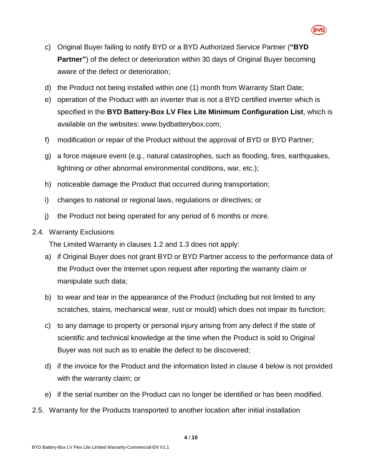- c) Original Buyer failing to notify BYD or a BYD Authorized Service Partner (**"BYD Partner"**) of the defect or deterioration within 30 days of Original Buyer becoming aware of the defect or deterioration;
- d) the Product not being installed within one (1) month from Warranty Start Date;
- e) operation of the Product with an inverter that is not a BYD certified inverter which is specified in the **BYD Battery-Box LV Flex Lite Minimum Configuration List**, which is available on the websites: www.bydbatterybox.com;
- f) modification or repair of the Product without the approval of BYD or BYD Partner;
- g) a force majeure event (e.g., natural catastrophes, such as flooding, fires, earthquakes, lightning or other abnormal environmental conditions, war, etc.);
- h) noticeable damage the Product that occurred during transportation;
- i) changes to national or regional laws, regulations or directives; or
- j) the Product not being operated for any period of 6 months or more.
- 2.4. Warranty Exclusions

The Limited Warranty in clauses [1.2](#page-0-1) and [1.3](#page-0-0) does not apply:

- a) if Original Buyer does not grant BYD or BYD Partner access to the performance data of the Product over the Internet upon request after reporting the warranty claim or manipulate such data;
- b) to wear and tear in the appearance of the Product (including but not limited to any scratches, stains, mechanical wear, rust or mould) which does not impair its function;
- c) to any damage to property or personal injury arising from any defect if the state of scientific and technical knowledge at the time when the Product is sold to Original Buyer was not such as to enable the defect to be discovered;
- d) if the invoice for the Product and the information listed in clause [4](#page-5-0) below is not provided with the warranty claim; or
- e) if the serial number on the Product can no longer be identified or has been modified.
- 2.5. Warranty for the Products transported to another location after initial installation

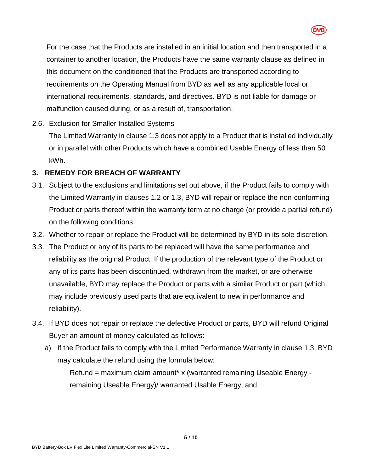

For the case that the Products are installed in an initial location and then transported in a container to another location, the Products have the same warranty clause as defined in this document on the conditioned that the Products are transported according to requirements on the Operating Manual from BYD as well as any applicable local or international requirements, standards, and directives. BYD is not liable for damage or malfunction caused during, or as a result of, transportation.

## 2.6. Exclusion for Smaller Installed Systems

The Limited Warranty in clause [1.3](#page-0-0) does not apply to a Product that is installed individually or in parallel with other Products which have a combined Usable Energy of less than 50 kWh.

## **3. REMEDY FOR BREACH OF WARRANTY**

- 3.1. Subject to the exclusions and limitations set out above, if the Product fails to comply with the Limited Warranty in clauses [1.2](#page-0-1) or [1.3,](#page-0-0) BYD will repair or replace the non-conforming Product or parts thereof within the warranty term at no charge (or provide a partial refund) on the following conditions.
- 3.2. Whether to repair or replace the Product will be determined by BYD in its sole discretion.
- 3.3. The Product or any of its parts to be replaced will have the same performance and reliability as the original Product. If the production of the relevant type of the Product or any of its parts has been discontinued, withdrawn from the market, or are otherwise unavailable, BYD may replace the Product or parts with a similar Product or part (which may include previously used parts that are equivalent to new in performance and reliability).
- 3.4. If BYD does not repair or replace the defective Product or parts, BYD will refund Original Buyer an amount of money calculated as follows:
	- a) If the Product fails to comply with the Limited Performance Warranty in clause [1.3,](#page-0-0) BYD may calculate the refund using the formula below:

Refund = maximum claim amount\* x (warranted remaining Useable Energy remaining Useable Energy)/ warranted Usable Energy; and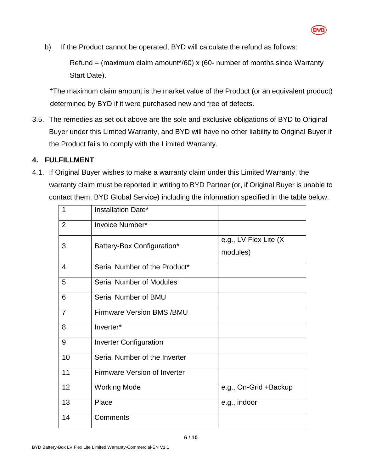

b) If the Product cannot be operated, BYD will calculate the refund as follows:

Refund = (maximum claim amount\*/60) x (60- number of months since Warranty Start Date).

\*The maximum claim amount is the market value of the Product (or an equivalent product) determined by BYD if it were purchased new and free of defects.

3.5. The remedies as set out above are the sole and exclusive obligations of BYD to Original Buyer under this Limited Warranty, and BYD will have no other liability to Original Buyer if the Product fails to comply with the Limited Warranty.

## <span id="page-5-0"></span>**4. FULFILLMENT**

4.1. If Original Buyer wishes to make a warranty claim under this Limited Warranty, the warranty claim must be reported in writing to BYD Partner (or, if Original Buyer is unable to contact them, BYD Global Service) including the information specified in the table below.

| 1              | Installation Date*                  |                                   |
|----------------|-------------------------------------|-----------------------------------|
| $\overline{2}$ | Invoice Number*                     |                                   |
| 3              | Battery-Box Configuration*          | e.g., LV Flex Lite (X<br>modules) |
| $\overline{4}$ | Serial Number of the Product*       |                                   |
| 5              | <b>Serial Number of Modules</b>     |                                   |
| 6              | Serial Number of BMU                |                                   |
| $\overline{7}$ | <b>Firmware Version BMS /BMU</b>    |                                   |
| 8              | Inverter*                           |                                   |
| 9              | <b>Inverter Configuration</b>       |                                   |
| 10             | Serial Number of the Inverter       |                                   |
| 11             | <b>Firmware Version of Inverter</b> |                                   |
| 12             | <b>Working Mode</b>                 | e.g., On-Grid +Backup             |
| 13             | Place                               | e.g., indoor                      |
| 14             | Comments                            |                                   |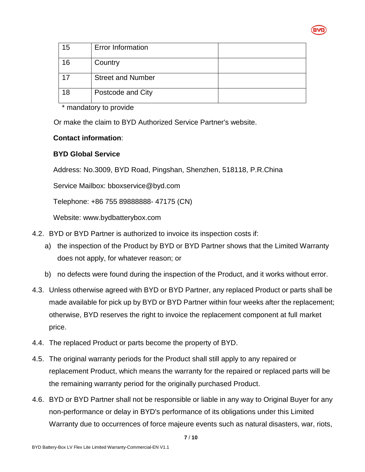

| 15 | <b>Error Information</b> |  |
|----|--------------------------|--|
| 16 | Country                  |  |
|    | <b>Street and Number</b> |  |
| 18 | Postcode and City        |  |

\* mandatory to provide

Or make the claim to BYD Authorized Service Partner's website.

#### **Contact information**:

### **BYD Global Service**

Address: No.3009, BYD Road, Pingshan, Shenzhen, 518118, P.R.China

Service Mailbox: bboxservice@byd.com

Telephone: +86 755 89888888- 47175 (CN)

Website: www.bydbatterybox.com

- 4.2. BYD or BYD Partner is authorized to invoice its inspection costs if:
	- a) the inspection of the Product by BYD or BYD Partner shows that the Limited Warranty does not apply, for whatever reason; or
	- b) no defects were found during the inspection of the Product, and it works without error.
- 4.3. Unless otherwise agreed with BYD or BYD Partner, any replaced Product or parts shall be made available for pick up by BYD or BYD Partner within four weeks after the replacement; otherwise, BYD reserves the right to invoice the replacement component at full market price.
- 4.4. The replaced Product or parts become the property of BYD.
- 4.5. The original warranty periods for the Product shall still apply to any repaired or replacement Product, which means the warranty for the repaired or replaced parts will be the remaining warranty period for the originally purchased Product.
- 4.6. BYD or BYD Partner shall not be responsible or liable in any way to Original Buyer for any non-performance or delay in BYD's performance of its obligations under this Limited Warranty due to occurrences of force majeure events such as natural disasters, war, riots,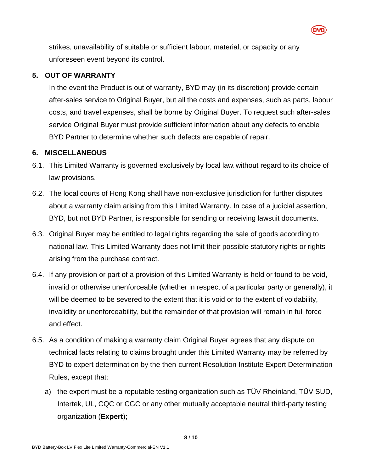strikes, unavailability of suitable or sufficient labour, material, or capacity or any unforeseen event beyond its control.

#### **5. OUT OF WARRANTY**

In the event the Product is out of warranty, BYD may (in its discretion) provide certain after-sales service to Original Buyer, but all the costs and expenses, such as parts, labour costs, and travel expenses, shall be borne by Original Buyer. To request such after-sales service Original Buyer must provide sufficient information about any defects to enable BYD Partner to determine whether such defects are capable of repair.

#### **6. MISCELLANEOUS**

- 6.1. This Limited Warranty is governed exclusively by local law, without regard to its choice of law provisions.
- 6.2. The local courts of Hong Kong shall have non-exclusive jurisdiction for further disputes about a warranty claim arising from this Limited Warranty. In case of a judicial assertion, BYD, but not BYD Partner, is responsible for sending or receiving lawsuit documents.
- 6.3. Original Buyer may be entitled to legal rights regarding the sale of goods according to national law. This Limited Warranty does not limit their possible statutory rights or rights arising from the purchase contract.
- 6.4. If any provision or part of a provision of this Limited Warranty is held or found to be void, invalid or otherwise unenforceable (whether in respect of a particular party or generally), it will be deemed to be severed to the extent that it is void or to the extent of voidability, invalidity or unenforceability, but the remainder of that provision will remain in full force and effect.
- 6.5. As a condition of making a warranty claim Original Buyer agrees that any dispute on technical facts relating to claims brought under this Limited Warranty may be referred by BYD to expert determination by the then-current Resolution Institute Expert Determination Rules, except that:
	- a) the expert must be a reputable testing organization such as TÜV Rheinland, TÜV SUD, Intertek, UL, CQC or CGC or any other mutually acceptable neutral third-party testing organization (**Expert**);

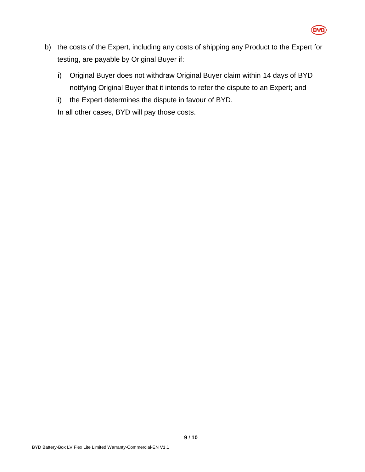

- b) the costs of the Expert, including any costs of shipping any Product to the Expert for testing, are payable by Original Buyer if:
	- i) Original Buyer does not withdraw Original Buyer claim within 14 days of BYD notifying Original Buyer that it intends to refer the dispute to an Expert; and
	- ii) the Expert determines the dispute in favour of BYD.

In all other cases, BYD will pay those costs.